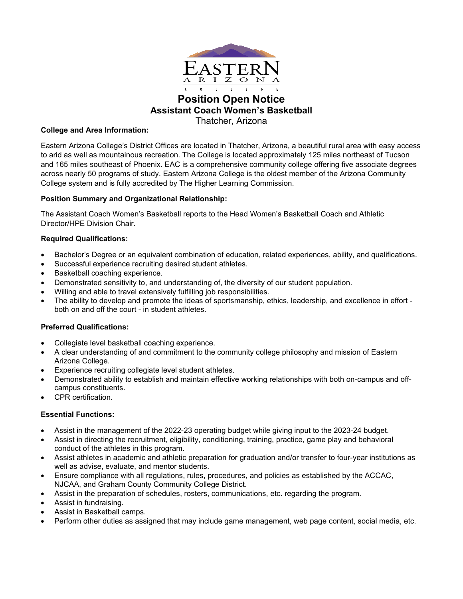

# **Position Open Notice Assistant Coach Women's Basketball** Thatcher, Arizona

### **College and Area Information:**

Eastern Arizona College's District Offices are located in Thatcher, Arizona, a beautiful rural area with easy access to arid as well as mountainous recreation. The College is located approximately 125 miles northeast of Tucson and 165 miles southeast of Phoenix. EAC is a comprehensive community college offering five associate degrees across nearly 50 programs of study. Eastern Arizona College is the oldest member of the Arizona Community College system and is fully accredited by The Higher Learning Commission.

# **Position Summary and Organizational Relationship:**

The Assistant Coach Women's Basketball reports to the Head Women's Basketball Coach and Athletic Director/HPE Division Chair.

# **Required Qualifications:**

- Bachelor's Degree or an equivalent combination of education, related experiences, ability, and qualifications.
- Successful experience recruiting desired student athletes.
- Basketball coaching experience.
- Demonstrated sensitivity to, and understanding of, the diversity of our student population.
- Willing and able to travel extensively fulfilling job responsibilities.
- The ability to develop and promote the ideas of sportsmanship, ethics, leadership, and excellence in effort both on and off the court - in student athletes.

#### **Preferred Qualifications:**

- Collegiate level basketball coaching experience.
- A clear understanding of and commitment to the community college philosophy and mission of Eastern Arizona College.
- Experience recruiting collegiate level student athletes.
- Demonstrated ability to establish and maintain effective working relationships with both on-campus and offcampus constituents.
- CPR certification.

# **Essential Functions:**

- Assist in the management of the 2022-23 operating budget while giving input to the 2023-24 budget.
- Assist in directing the recruitment, eligibility, conditioning, training, practice, game play and behavioral conduct of the athletes in this program.
- Assist athletes in academic and athletic preparation for graduation and/or transfer to four-year institutions as well as advise, evaluate, and mentor students.
- Ensure compliance with all regulations, rules, procedures, and policies as established by the ACCAC, NJCAA, and Graham County Community College District.
- Assist in the preparation of schedules, rosters, communications, etc. regarding the program.
- Assist in fundraising.
- Assist in Basketball camps.
- Perform other duties as assigned that may include game management, web page content, social media, etc.